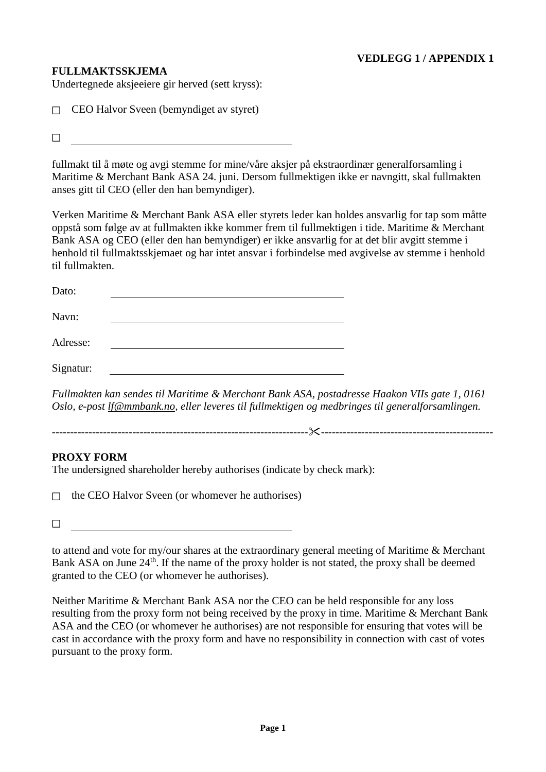## **FULLMAKTSSKJEMA**

Undertegnede aksjeeiere gir herved (sett kryss):

☐ CEO Halvor Sveen (bemyndiget av styret)

 $\Box$ 

fullmakt til å møte og avgi stemme for mine/våre aksjer på ekstraordinær generalforsamling i Maritime & Merchant Bank ASA 24. juni. Dersom fullmektigen ikke er navngitt, skal fullmakten anses gitt til CEO (eller den han bemyndiger).

Verken Maritime & Merchant Bank ASA eller styrets leder kan holdes ansvarlig for tap som måtte oppstå som følge av at fullmakten ikke kommer frem til fullmektigen i tide. Maritime & Merchant Bank ASA og CEO (eller den han bemyndiger) er ikke ansvarlig for at det blir avgitt stemme i henhold til fullmaktsskjemaet og har intet ansvar i forbindelse med avgivelse av stemme i henhold til fullmakten.

| Dato:     |  |
|-----------|--|
| Navn:     |  |
| Adresse:  |  |
| Signatur: |  |

*Fullmakten kan sendes til Maritime & Merchant Bank ASA, postadresse Haakon VIIs gate 1, 0161 Oslo, e-post [lf@mmbank.no,](mailto:lf@mmbank.no) eller leveres til fullmektigen og medbringes til generalforsamlingen.*

---------------------------------------------------------------------------------------------------------------------

## **PROXY FORM**

The undersigned shareholder hereby authorises (indicate by check mark):

 $\Box$  the CEO Halvor Sveen (or whomever he authorises)

☐

to attend and vote for my/our shares at the extraordinary general meeting of Maritime & Merchant Bank ASA on June 24<sup>th</sup>. If the name of the proxy holder is not stated, the proxy shall be deemed granted to the CEO (or whomever he authorises).

Neither Maritime & Merchant Bank ASA nor the CEO can be held responsible for any loss resulting from the proxy form not being received by the proxy in time. Maritime & Merchant Bank ASA and the CEO (or whomever he authorises) are not responsible for ensuring that votes will be cast in accordance with the proxy form and have no responsibility in connection with cast of votes pursuant to the proxy form.